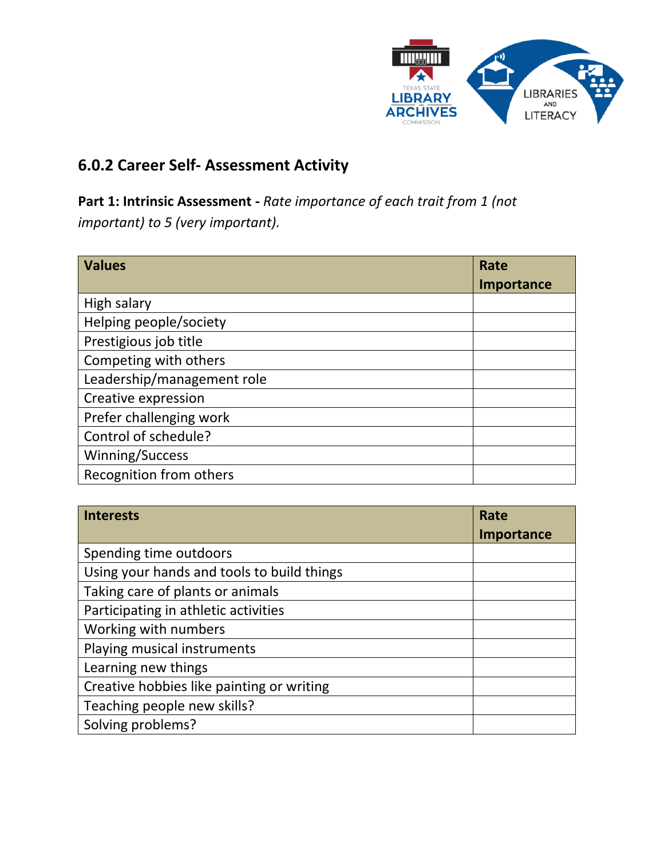

## **6.0.2 Career Self- Assessment Activity**

**Part 1: Intrinsic Assessment -** *Rate importance of each trait from 1 (not important) to 5 (very important).*

| <b>Values</b>              | Rate       |
|----------------------------|------------|
|                            | Importance |
| High salary                |            |
| Helping people/society     |            |
| Prestigious job title      |            |
| Competing with others      |            |
| Leadership/management role |            |
| Creative expression        |            |
| Prefer challenging work    |            |
| Control of schedule?       |            |
| Winning/Success            |            |
| Recognition from others    |            |

| <b>Interests</b>                           | Rate       |
|--------------------------------------------|------------|
|                                            | Importance |
| Spending time outdoors                     |            |
| Using your hands and tools to build things |            |
| Taking care of plants or animals           |            |
| Participating in athletic activities       |            |
| Working with numbers                       |            |
| Playing musical instruments                |            |
| Learning new things                        |            |
| Creative hobbies like painting or writing  |            |
| Teaching people new skills?                |            |
| Solving problems?                          |            |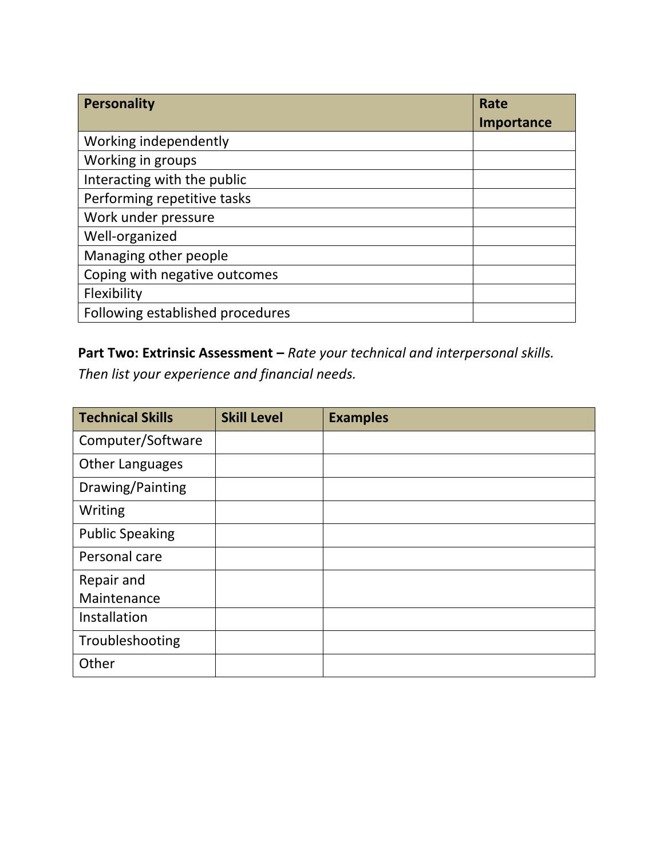| Personality                      | Rate       |
|----------------------------------|------------|
|                                  | Importance |
| Working independently            |            |
| Working in groups                |            |
| Interacting with the public      |            |
| Performing repetitive tasks      |            |
| Work under pressure              |            |
| Well-organized                   |            |
| Managing other people            |            |
| Coping with negative outcomes    |            |
| Flexibility                      |            |
| Following established procedures |            |

## **Part Two: Extrinsic Assessment –** *Rate your technical and interpersonal skills.*

*Then list your experience and financial needs.* 

| <b>Technical Skills</b> | <b>Skill Level</b> | <b>Examples</b> |
|-------------------------|--------------------|-----------------|
| Computer/Software       |                    |                 |
| <b>Other Languages</b>  |                    |                 |
| Drawing/Painting        |                    |                 |
| Writing                 |                    |                 |
| <b>Public Speaking</b>  |                    |                 |
| Personal care           |                    |                 |
| Repair and              |                    |                 |
| Maintenance             |                    |                 |
| Installation            |                    |                 |
| Troubleshooting         |                    |                 |
| Other                   |                    |                 |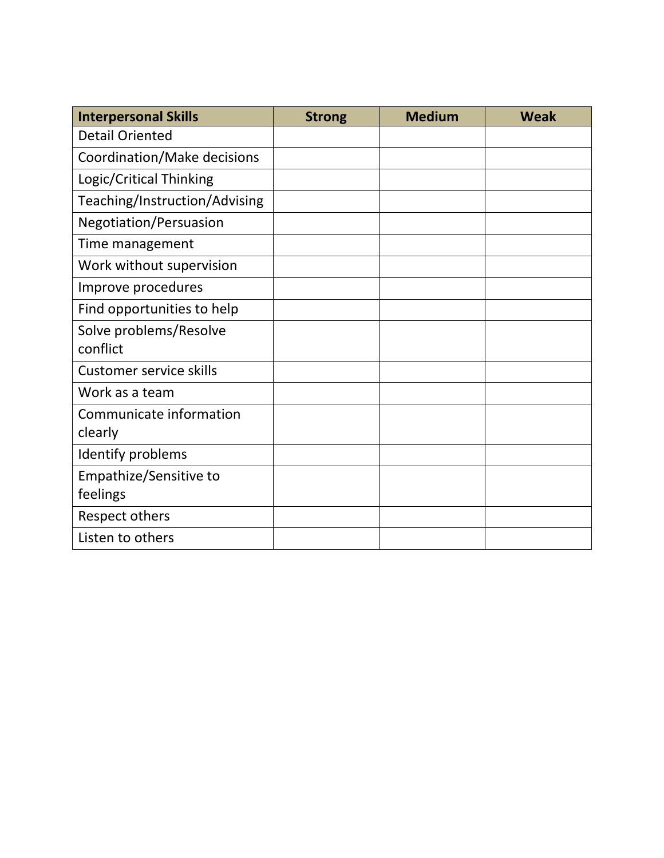| <b>Interpersonal Skills</b>    | <b>Strong</b> | <b>Medium</b> | <b>Weak</b> |
|--------------------------------|---------------|---------------|-------------|
| <b>Detail Oriented</b>         |               |               |             |
| Coordination/Make decisions    |               |               |             |
| Logic/Critical Thinking        |               |               |             |
| Teaching/Instruction/Advising  |               |               |             |
| Negotiation/Persuasion         |               |               |             |
| Time management                |               |               |             |
| Work without supervision       |               |               |             |
| Improve procedures             |               |               |             |
| Find opportunities to help     |               |               |             |
| Solve problems/Resolve         |               |               |             |
| conflict                       |               |               |             |
| <b>Customer service skills</b> |               |               |             |
| Work as a team                 |               |               |             |
| Communicate information        |               |               |             |
| clearly                        |               |               |             |
| Identify problems              |               |               |             |
| Empathize/Sensitive to         |               |               |             |
| feelings                       |               |               |             |
| Respect others                 |               |               |             |
| Listen to others               |               |               |             |